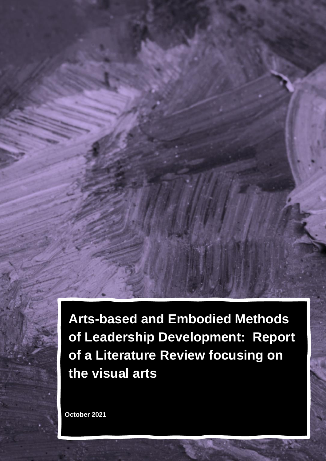**Arts-based and Embodied Methods of Leadership Development: Report of a Literature Review focusing on the visual arts**

**October 2021**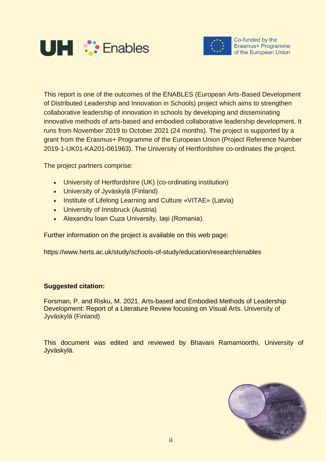



Co-funded by the Erasmus+ Programme of the European Union

This report is one of the outcomes of the ENABLES (European Arts-Based Development of Distributed Leadership and Innovation in Schools) project which aims to strengthen collaborative leadership of innovation in schools by developing and disseminating innovative methods of arts-based and embodied collaborative leadership development. It runs from November 2019 to October 2021 (24 months). The project is supported by a grant from the Erasmus+ Programme of the European Union (Project Reference Number 2019-1-UK01-KA201-061963). The University of Hertfordshire co-ordinates the project.

The project partners comprise:

- University of Hertfordshire (UK) (co-ordinating institution)
- University of Jyväskylä (Finland)
- Institute of Lifelong Learning and Culture «VITAE» (Latvia)
- University of Innsbruck (Austria)
- Alexandru Ioan Cuza University, Iași (Romania).

Further information on the project is available on this web page:

https://www.herts.ac.uk/study/schools-of-study/education/research/enables

# **Suggested citation:**

Forsman, P. and Risku, M. 2021. Arts-based and Embodied Methods of Leadership Development: Report of a Literature Review focusing on Visual Arts. University of Jyväskylä (Finland)

This document was edited and reviewed by Bhavani Ramamoorthi, University of Jyväskylä.

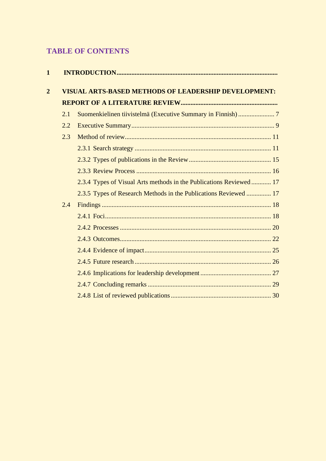# **TABLE OF CONTENTS**

| 1              |     |                                                                    |  |  |  |
|----------------|-----|--------------------------------------------------------------------|--|--|--|
| $\overline{2}$ |     | <b>VISUAL ARTS-BASED METHODS OF LEADERSHIP DEVELOPMENT:</b>        |  |  |  |
|                |     |                                                                    |  |  |  |
|                | 2.1 |                                                                    |  |  |  |
|                | 2.2 |                                                                    |  |  |  |
|                | 2.3 |                                                                    |  |  |  |
|                |     |                                                                    |  |  |  |
|                |     |                                                                    |  |  |  |
|                |     |                                                                    |  |  |  |
|                |     | 2.3.4 Types of Visual Arts methods in the Publications Reviewed 17 |  |  |  |
|                |     | 2.3.5 Types of Research Methods in the Publications Reviewed  17   |  |  |  |
|                | 2.4 |                                                                    |  |  |  |
|                |     |                                                                    |  |  |  |
|                |     |                                                                    |  |  |  |
|                |     |                                                                    |  |  |  |
|                |     |                                                                    |  |  |  |
|                |     |                                                                    |  |  |  |
|                |     |                                                                    |  |  |  |
|                |     |                                                                    |  |  |  |
|                |     |                                                                    |  |  |  |
|                |     |                                                                    |  |  |  |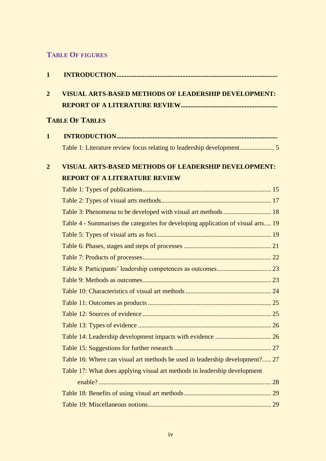# **TABLE OF FIGURES**

| $\mathbf{1}$   |                                                                                  |  |  |  |  |
|----------------|----------------------------------------------------------------------------------|--|--|--|--|
| $\overline{2}$ | <b>VISUAL ARTS-BASED METHODS OF LEADERSHIP DEVELOPMENT:</b>                      |  |  |  |  |
|                |                                                                                  |  |  |  |  |
|                | <b>TABLE OF TABLES</b>                                                           |  |  |  |  |
| $\mathbf{1}$   |                                                                                  |  |  |  |  |
|                |                                                                                  |  |  |  |  |
| $\overline{2}$ | <b>VISUAL ARTS-BASED METHODS OF LEADERSHIP DEVELOPMENT:</b>                      |  |  |  |  |
|                | <b>REPORT OF A LITERATURE REVIEW</b>                                             |  |  |  |  |
|                |                                                                                  |  |  |  |  |
|                |                                                                                  |  |  |  |  |
|                |                                                                                  |  |  |  |  |
|                | Table 4 - Summarises the categories for developing application of visual arts 19 |  |  |  |  |
|                |                                                                                  |  |  |  |  |
|                |                                                                                  |  |  |  |  |
|                |                                                                                  |  |  |  |  |
|                |                                                                                  |  |  |  |  |
|                |                                                                                  |  |  |  |  |
|                |                                                                                  |  |  |  |  |
|                |                                                                                  |  |  |  |  |
|                |                                                                                  |  |  |  |  |
|                |                                                                                  |  |  |  |  |
|                |                                                                                  |  |  |  |  |
|                |                                                                                  |  |  |  |  |
|                | Table 16: Where can visual art methods be used in leadership development? 27     |  |  |  |  |
|                | Table 17: What does applying visual art methods in leadership development        |  |  |  |  |
|                |                                                                                  |  |  |  |  |
|                |                                                                                  |  |  |  |  |
|                |                                                                                  |  |  |  |  |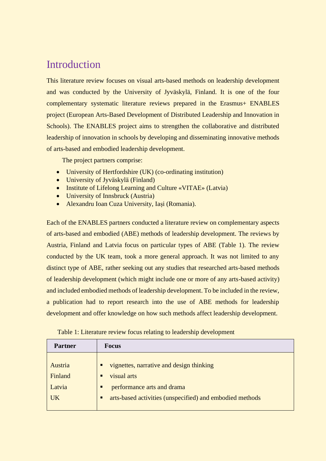# **Introduction**

This literature review focuses on visual arts-based methods on leadership development and was conducted by the University of Jyväskylä, Finland. It is one of the four complementary systematic literature reviews prepared in the Erasmus+ ENABLES project (European Arts-Based Development of Distributed Leadership and Innovation in Schools). The ENABLES project aims to strengthen the collaborative and distributed leadership of innovation in schools by developing and disseminating innovative methods of arts-based and embodied leadership development.

The project partners comprise:

- University of Hertfordshire (UK) (co-ordinating institution)
- University of Jyväskylä (Finland)
- Institute of Lifelong Learning and Culture «VITAE» (Latvia)
- University of Innsbruck (Austria)
- Alexandru Ioan Cuza University, Iași (Romania).

Each of the ENABLES partners conducted a literature review on complementary aspects of arts-based and embodied (ABE) methods of leadership development. The reviews by Austria, Finland and Latvia focus on particular types of ABE (Table 1). The review conducted by the UK team, took a more general approach. It was not limited to any distinct type of ABE, rather seeking out any studies that researched arts-based methods of leadership development (which might include one or more of any arts-based activity) and included embodied methods of leadership development. To be included in the review, a publication had to report research into the use of ABE methods for leadership development and offer knowledge on how such methods affect leadership development.

<span id="page-4-0"></span>

| Table 1: Literature review focus relating to leadership development |  |  |  |
|---------------------------------------------------------------------|--|--|--|
|                                                                     |  |  |  |

| <b>Partner</b> | <b>Focus</b>                                                  |
|----------------|---------------------------------------------------------------|
|                |                                                               |
| Austria        | vignettes, narrative and design thinking<br>п                 |
| Finland        | visual arts<br>п                                              |
| Latvia         | performance arts and drama<br>п                               |
| <b>UK</b>      | arts-based activities (unspecified) and embodied methods<br>п |
|                |                                                               |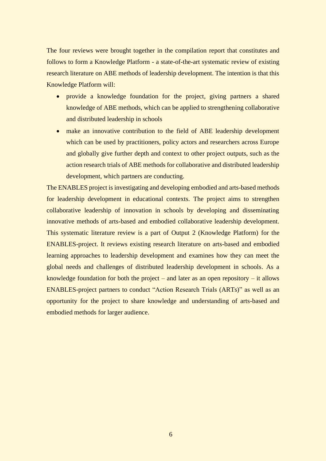The four reviews were brought together in the compilation report that constitutes and follows to form a Knowledge Platform - a state-of-the-art systematic review of existing research literature on ABE methods of leadership development. The intention is that this Knowledge Platform will:

- provide a knowledge foundation for the project, giving partners a shared knowledge of ABE methods, which can be applied to strengthening collaborative and distributed leadership in schools
- make an innovative contribution to the field of ABE leadership development which can be used by practitioners, policy actors and researchers across Europe and globally give further depth and context to other project outputs, such as the action research trials of ABE methods for collaborative and distributed leadership development, which partners are conducting.

The ENABLES project is investigating and developing embodied and arts-based methods for leadership development in educational contexts. The project aims to strengthen collaborative leadership of innovation in schools by developing and disseminating innovative methods of arts-based and embodied collaborative leadership development. This systematic literature review is a part of Output 2 (Knowledge Platform) for the ENABLES-project. It reviews existing research literature on arts-based and embodied learning approaches to leadership development and examines how they can meet the global needs and challenges of distributed leadership development in schools. As a knowledge foundation for both the project – and later as an open repository – it allows ENABLES-project partners to conduct "Action Research Trials (ARTs)" as well as an opportunity for the project to share knowledge and understanding of arts-based and embodied methods for larger audience.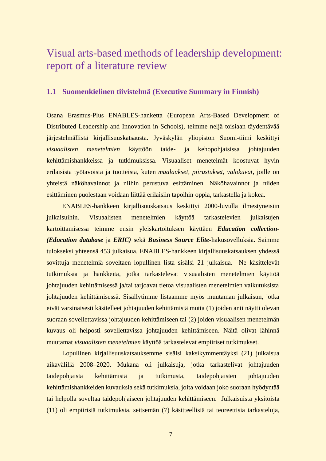# Visual arts-based methods of leadership development: report of a literature review

#### <span id="page-6-0"></span>**1.1 Suomenkielinen tiivistelmä (Executive Summary in Finnish)**

Osana Erasmus-Plus ENABLES-hanketta (European Arts-Based Development of Distributed Leadership and Innovation in Schools), teimme neljä toisiaan täydentävää järjestelmällistä kirjallisuuskatsausta. Jyväskylän yliopiston Suomi-tiimi keskittyi *visuaalisten menetelmien* käyttöön taide- ja kehopohjaisissa johtajuuden kehittämishankkeissa ja tutkimuksissa. Visuaaliset menetelmät koostuvat hyvin erilaisista työtavoista ja tuotteista, kuten *maalaukset, piirustukset, valokuvat*, joille on yhteistä näköhavainnot ja niihin perustuva esittäminen. Näköhavainnot ja niiden esittäminen puolestaan voidaan liittää erilaisiin tapoihin oppia, tarkastella ja kokea.

ENABLES-hankkeen kirjallisuuskatsaus keskittyi 2000-luvulla ilmestyneisiin julkaisuihin. Visuaalisten menetelmien käyttöä tarkastelevien julkaisujen kartoittamisessa teimme ensin yleiskartoituksen käyttäen *Education collection- (Education database* ja *ERIC)* sekä *Business Source Elite-*hakusovelluksia*.* Saimme tulokseksi yhteensä 453 julkaisua. ENABLES-hankkeen kirjallisuuskatsauksen yhdessä sovittuja menetelmiä soveltaen lopullinen lista sisälsi 21 julkaisua. Ne käsittelevät tutkimuksia ja hankkeita, jotka tarkastelevat visuaalisten menetelmien käyttöä johtajuuden kehittämisessä ja/tai tarjoavat tietoa visuaalisten menetelmien vaikutuksista johtajuuden kehittämisessä. Sisällytimme listaamme myös muutaman julkaisun, jotka eivät varsinaisesti käsitelleet johtajuuden kehittämistä mutta (1) joiden anti näytti olevan suoraan sovellettavissa johtajuuden kehittämiseen tai (2) joiden visuaalisen menetelmän kuvaus oli helposti sovellettavissa johtajuuden kehittämiseen. Näitä olivat lähinnä muutamat *visuaalisten menetelmien* käyttöä tarkastelevat empiiriset tutkimukset.

Lopullinen kirjallisuuskatsauksemme sisälsi kaksikymmentäyksi (21) julkaisua aikavälillä 2008–2020. Mukana oli julkaisuja, jotka tarkastelivat johtajuuden taidepohjaista kehittämistä ja tutkimusta, taidepohjaisten johtajuuden kehittämishankkeiden kuvauksia sekä tutkimuksia, joita voidaan joko suoraan hyödyntää tai helpolla soveltaa taidepohjaiseen johtajuuden kehittämiseen. Julkaisuista yksitoista (11) oli empiirisiä tutkimuksia, seitsemän (7) käsitteellisiä tai teoreettisia tarkasteluja,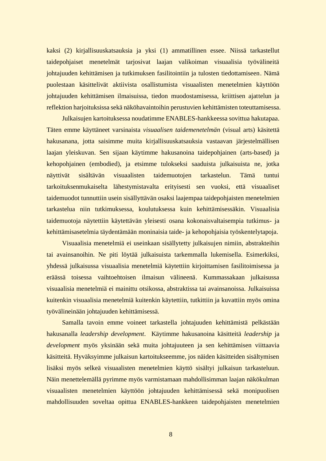kaksi (2) kirjallisuuskatsauksia ja yksi (1) ammatillinen essee. Niissä tarkastellut taidepohjaiset menetelmät tarjosivat laajan valikoiman visuaalisia työvälineitä johtajuuden kehittämisen ja tutkimuksen fasilitointiin ja tulosten tiedottamiseen. Nämä puolestaan käsittelivät aktiivista osallistumista visuaalisten menetelmien käyttöön johtajuuden kehittämisen ilmaisuissa, tiedon muodostamisessa, kriittisen ajattelun ja reflektion harjoituksissa sekä näköhavaintoihin perustuvien kehittämisten toteuttamisessa.

Julkaisujen kartoituksessa noudatimme ENABLES-hankkeessa sovittua hakutapaa. Täten emme käyttäneet varsinaista *visuaalisen taidemenetelmän* (visual arts) käsitettä hakusanana, jotta saisimme muita kirjallisuuskatsauksia vastaavan järjestelmällisen laajan yleiskuvan. Sen sijaan käytimme hakusanoina taidepohjainen (arts-based) ja kehopohjainen (embodied), ja etsimme tulokseksi saaduista julkaisuista ne, jotka näyttivät sisältävän visuaalisten taidemuotojen tarkastelun. Tämä tuntui tarkoituksenmukaiselta lähestymistavalta erityisesti sen vuoksi, että visuaaliset taidemuodot tunnuttiin usein sisällyttävän osaksi laajempaa taidepohjaisten menetelmien tarkastelua niin tutkimuksessa, koulutuksessa kuin kehittämisessäkin. Visuaalisia taidemuotoja näytettiin käytettävän yleisesti osana kokonaisvaltaisempia tutkimus- ja kehittämisasetelmia täydentämään moninaisia taide- ja kehopohjaisia työskentelytapoja.

Visuaalisia menetelmiä ei useinkaan sisällytetty julkaisujen nimiin, abstrakteihin tai avainsanoihin. Ne piti löytää julkaisuista tarkemmalla lukemisella. Esimerkiksi, yhdessä julkaisussa visuaalisia menetelmiä käytettiin kirjoittamisen fasilitoimisessa ja eräässä toisessa vaihtoehtoisen ilmaisun välineenä. Kummassakaan julkaisussa visuaalisia menetelmiä ei mainittu otsikossa, abstraktissa tai avainsanoissa. Julkaisuissa kuitenkin visuaalisia menetelmiä kuitenkin käytettiin, tutkittiin ja kuvattiin myös omina työvälineinään johtajuuden kehittämisessä.

Samalla tavoin emme voineet tarkastella johtajuuden kehittämistä pelkästään hakusanalla *leadership development*. Käytimme hakusanoina käsitteitä *leadership* ja *development* myös yksinään sekä muita johtajuuteen ja sen kehittämisen viittaavia käsitteitä. Hyväksyimme julkaisun kartoitukseemme, jos näiden käsitteiden sisältymisen lisäksi myös selkeä visuaalisten menetelmien käyttö sisältyi julkaisun tarkasteluun. Näin menettelemällä pyrimme myös varmistamaan mahdollisimman laajan näkökulman visuaalisten menetelmien käyttöön johtajuuden kehittämisessä sekä monipuolisen mahdollisuuden soveltaa opittua ENABLES-hankkeen taidepohjaisten menetelmien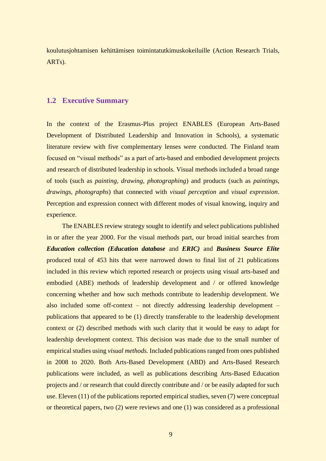koulutusjohtamisen kehittämisen toimintatutkimuskokeiluille (Action Research Trials, ARTs).

# <span id="page-8-0"></span>**1.2 Executive Summary**

In the context of the Erasmus-Plus project ENABLES (European Arts-Based Development of Distributed Leadership and Innovation in Schools), a systematic literature review with five complementary lenses were conducted. The Finland team focused on "visual methods" as a part of arts-based and embodied development projects and research of distributed leadership in schools. Visual methods included a broad range of tools (such as *painting, drawing, photographing*) and products (such as *paintings, drawings, photographs*) that connected with *visual perception* and *visual expression*. Perception and expression connect with different modes of visual knowing, inquiry and experience.

The ENABLES review strategy sought to identify and select publications published in or after the year 2000. For the visual methods part, our broad initial searches from *Education collection (Education database* and *ERIC)* and *Business Source Elite* produced total of 453 hits that were narrowed down to final list of 21 publications included in this review which reported research or projects using visual arts-based and embodied (ABE) methods of leadership development and / or offered knowledge concerning whether and how such methods contribute to leadership development. We also included some off-context – not directly addressing leadership development – publications that appeared to be (1) directly transferable to the leadership development context or (2) described methods with such clarity that it would be easy to adapt for leadership development context. This decision was made due to the small number of empirical studies using *visual methods.* Included publications ranged from ones published in 2008 to 2020. Both Arts-Based Development (ABD) and Arts-Based Research publications were included, as well as publications describing Arts-Based Education projects and / or research that could directly contribute and / or be easily adapted for such use. Eleven (11) of the publications reported empirical studies, seven (7) were conceptual or theoretical papers, two (2) were reviews and one (1) was considered as a professional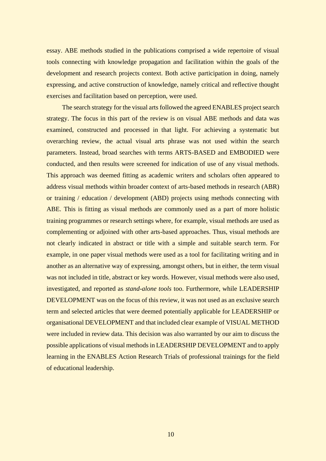essay. ABE methods studied in the publications comprised a wide repertoire of visual tools connecting with knowledge propagation and facilitation within the goals of the development and research projects context. Both active participation in doing, namely expressing, and active construction of knowledge, namely critical and reflective thought exercises and facilitation based on perception, were used.

The search strategy for the visual arts followed the agreed ENABLES project search strategy. The focus in this part of the review is on visual ABE methods and data was examined, constructed and processed in that light. For achieving a systematic but overarching review, the actual visual arts phrase was not used within the search parameters. Instead, broad searches with terms ARTS-BASED and EMBODIED were conducted, and then results were screened for indication of use of any visual methods. This approach was deemed fitting as academic writers and scholars often appeared to address visual methods within broader context of arts-based methods in research (ABR) or training / education / development (ABD) projects using methods connecting with ABE. This is fitting as visual methods are commonly used as a part of more holistic training programmes or research settings where, for example, visual methods are used as complementing or adjoined with other arts-based approaches. Thus, visual methods are not clearly indicated in abstract or title with a simple and suitable search term. For example, in one paper visual methods were used as a tool for facilitating writing and in another as an alternative way of expressing, amongst others, but in either, the term visual was not included in title, abstract or key words. However, visual methods were also used, investigated, and reported as *stand-alone tools* too. Furthermore, while LEADERSHIP DEVELOPMENT was on the focus of this review, it was not used as an exclusive search term and selected articles that were deemed potentially applicable for LEADERSHIP or organisational DEVELOPMENT and that included clear example of VISUAL METHOD were included in review data. This decision was also warranted by our aim to discuss the possible applications of visual methods in LEADERSHIP DEVELOPMENT and to apply learning in the ENABLES Action Research Trials of professional trainings for the field of educational leadership.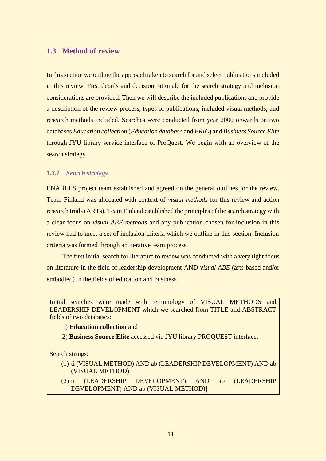# <span id="page-10-0"></span>**1.3 Method of review**

In this section we outline the approach taken to search for and select publications included in this review. First details and decision rationale for the search strategy and inclusion considerations are provided. Then we will describe the included publications and provide a description of the review process, types of publications, included visual methods, and research methods included. Searches were conducted from year 2000 onwards on two databases *Education collection* (*Education database* and *ERIC*) and *Business Source Elite* through JYU library service interface of ProQuest. We begin with an overview of the search strategy.

#### <span id="page-10-1"></span>*1.3.1 Search strategy*

ENABLES project team established and agreed on the general outlines for the review. Team Finland was allocated with context of *visual methods* for this review and action research trials (ARTs). Team Finland established the principles of the search strategy with a clear focus on *visual ABE methods* and any publication chosen for inclusion in this review had to meet a set of inclusion criteria which we outline in this section. Inclusion criteria was formed through an iterative team process.

The first initial search for literature to review was conducted with a very tight focus on literature in the field of leadership development AND *visual ABE* (arts-based and/or embodied) in the fields of education and business.

Initial searches were made with terminology of VISUAL METHODS and LEADERSHIP DEVELOPMENT which we searched from TITLE and ABSTRACT fields of two databases:

1) **Education collection** and

2) **Business Source Elite** accessed via JYU library PROQUEST interface.

Search strings:

- (1) ti (VISUAL METHOD) AND ab (LEADERSHIP DEVELOPMENT) AND ab (VISUAL METHOD)
- (2) ti (LEADERSHIP DEVELOPMENT) AND ab (LEADERSHIP DEVELOPMENT) AND ab (VISUAL METHOD)]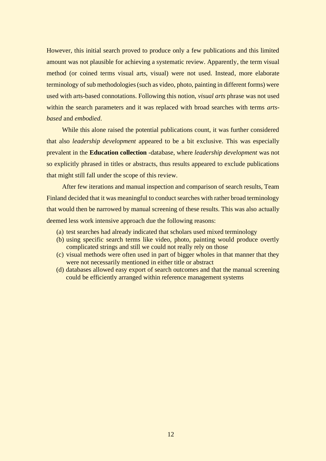However, this initial search proved to produce only a few publications and this limited amount was not plausible for achieving a systematic review. Apparently, the term visual method (or coined terms visual arts, visual) were not used. Instead, more elaborate terminology of sub methodologies (such as video, photo, painting in different forms) were used with arts-based connotations. Following this notion, *visual arts* phrase was not used within the search parameters and it was replaced with broad searches with terms *artsbased* and *embodied*.

While this alone raised the potential publications count, it was further considered that also *leadership development* appeared to be a bit exclusive. This was especially prevalent in the **Education collection** -database, where *leadership development* was not so explicitly phrased in titles or abstracts, thus results appeared to exclude publications that might still fall under the scope of this review.

After few iterations and manual inspection and comparison of search results, Team Finland decided that it was meaningful to conduct searches with rather broad terminology that would then be narrowed by manual screening of these results. This was also actually deemed less work intensive approach due the following reasons:

- (a) test searches had already indicated that scholars used mixed terminology
- (b) using specific search terms like video, photo, painting would produce overtly complicated strings and still we could not really rely on those
- (c) visual methods were often used in part of bigger wholes in that manner that they were not necessarily mentioned in either title or abstract
- (d) databases allowed easy export of search outcomes and that the manual screening could be efficiently arranged within reference management systems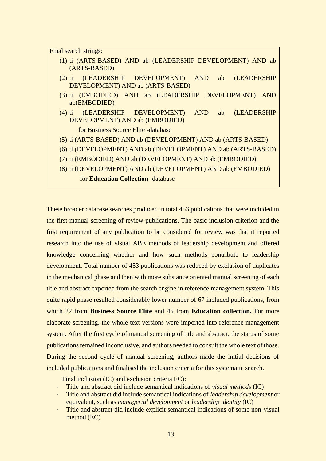| Final search strings:                                                                                    |  |  |  |  |  |
|----------------------------------------------------------------------------------------------------------|--|--|--|--|--|
| (1) ti (ARTS-BASED) AND ab (LEADERSHIP DEVELOPMENT) AND ab<br>(ARTS-BASED)                               |  |  |  |  |  |
| (LEADERSHIP DEVELOPMENT) AND<br><b>(LEADERSHIP</b><br>ab<br>$(2)$ ti<br>DEVELOPMENT) AND ab (ARTS-BASED) |  |  |  |  |  |
| (3) ti (EMBODIED) AND ab (LEADERSHIP DEVELOPMENT)<br><b>AND</b><br>ab(EMBODIED)                          |  |  |  |  |  |
| (LEADERSHIP DEVELOPMENT) AND<br><b>(LEADERSHIP</b><br>$(4)$ ti<br>ab<br>DEVELOPMENT) AND ab (EMBODIED)   |  |  |  |  |  |
| for Business Source Elite -database                                                                      |  |  |  |  |  |
| (5) ti (ARTS-BASED) AND ab (DEVELOPMENT) AND ab (ARTS-BASED)                                             |  |  |  |  |  |
| (6) ti (DEVELOPMENT) AND ab (DEVELOPMENT) AND ab (ARTS-BASED)                                            |  |  |  |  |  |
| (7) ti (EMBODIED) AND ab (DEVELOPMENT) AND ab (EMBODIED)                                                 |  |  |  |  |  |
| (8) ti (DEVELOPMENT) AND ab (DEVELOPMENT) AND ab (EMBODIED)                                              |  |  |  |  |  |
| for <b>Education Collection</b> -database                                                                |  |  |  |  |  |

These broader database searches produced in total 453 publications that were included in the first manual screening of review publications. The basic inclusion criterion and the first requirement of any publication to be considered for review was that it reported research into the use of visual ABE methods of leadership development and offered knowledge concerning whether and how such methods contribute to leadership development. Total number of 453 publications was reduced by exclusion of duplicates in the mechanical phase and then with more substance oriented manual screening of each title and abstract exported from the search engine in reference management system. This quite rapid phase resulted considerably lower number of 67 included publications, from which 22 from **Business Source Elite** and 45 from **Education collection.** For more elaborate screening, the whole text versions were imported into reference management system. After the first cycle of manual screening of title and abstract, the status of some publications remained inconclusive, and authors needed to consult the whole text of those. During the second cycle of manual screening, authors made the initial decisions of included publications and finalised the inclusion criteria for this systematic search.

Final inclusion (IC) and exclusion criteria EC):

- Title and abstract did include semantical indications of *visual methods* (IC)
- Title and abstract did include semantical indications of *leadership development* or equivalent, such as *managerial development* or *leadership identity* (IC)
- Title and abstract did include explicit semantical indications of some non-visual method (EC)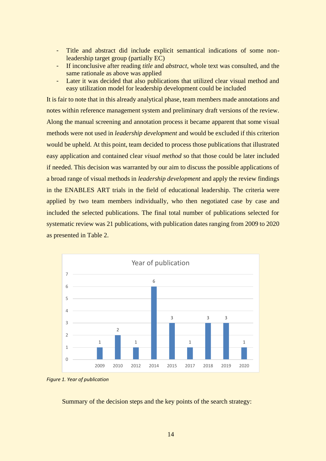- Title and abstract did include explicit semantical indications of some nonleadership target group (partially EC)
- If inconclusive after reading *title* and *abstract*, whole text was consulted, and the same rationale as above was applied
- Later it was decided that also publications that utilized clear visual method and easy utilization model for leadership development could be included

It is fair to note that in this already analytical phase, team members made annotations and notes within reference management system and preliminary draft versions of the review. Along the manual screening and annotation process it became apparent that some visual methods were not used in *leadership development* and would be excluded if this criterion would be upheld. At this point, team decided to process those publications that illustrated easy application and contained clear *visual method* so that those could be later included if needed. This decision was warranted by our aim to discuss the possible applications of a broad range of visual methods in *leadership development* and apply the review findings in the ENABLES ART trials in the field of educational leadership. The criteria were applied by two team members individually, who then negotiated case by case and included the selected publications. The final total number of publications selected for systematic review was 21 publications, with publication dates ranging from 2009 to 2020 as presented in Table 2.





Summary of the decision steps and the key points of the search strategy: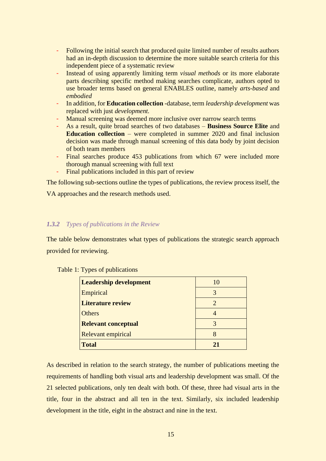- Following the initial search that produced quite limited number of results authors had an in-depth discussion to determine the more suitable search criteria for this independent piece of a systematic review
- Instead of using apparently limiting term *visual methods* or its more elaborate parts describing specific method making searches complicate, authors opted to use broader terms based on general ENABLES outline, namely *arts-based* and *embodied*
- In addition, for **Education collection** -database, term *leadership development* was replaced with just *development.*
- Manual screening was deemed more inclusive over narrow search terms
- As a result, quite broad searches of two databases **Business Source Elite** and **Education collection** – were completed in summer 2020 and final inclusion decision was made through manual screening of this data body by joint decision of both team members
- Final searches produce 453 publications from which 67 were included more thorough manual screening with full text
- Final publications included in this part of review

The following sub-sections outline the types of publications, the review process itself, the

VA approaches and the research methods used.

# <span id="page-14-0"></span>*1.3.2 Types of publications in the Review*

The table below demonstrates what types of publications the strategic search approach provided for reviewing.

| <b>Leadership development</b> |               |
|-------------------------------|---------------|
| Empirical                     | 3             |
| <b>Literature review</b>      | $\mathcal{D}$ |
| <b>Others</b>                 |               |
| <b>Relevant conceptual</b>    | 3             |
| <b>Relevant empirical</b>     | 8             |
| <b>Total</b>                  |               |

<span id="page-14-1"></span>Table 1: Types of publications

As described in relation to the search strategy, the number of publications meeting the requirements of handling both visual arts and leadership development was small. Of the 21 selected publications, only ten dealt with both. Of these, three had visual arts in the title, four in the abstract and all ten in the text. Similarly, six included leadership development in the title, eight in the abstract and nine in the text.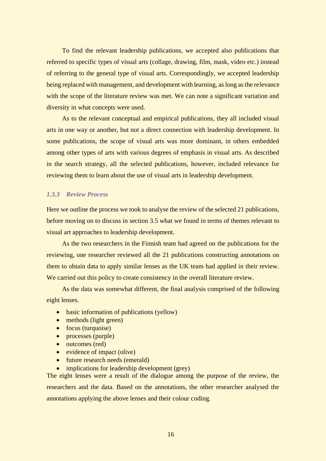To find the relevant leadership publications, we accepted also publications that referred to specific types of visual arts (collage, drawing, film, mask, video etc.) instead of referring to the general type of visual arts. Correspondingly, we accepted leadership being replaced with management, and development with learning, as long as the relevance with the scope of the literature review was met. We can note a significant variation and diversity in what concepts were used.

As to the relevant conceptual and empirical publications, they all included visual arts in one way or another, but not a direct connection with leadership development. In some publications, the scope of visual arts was more dominant, in others embedded among other types of arts with various degrees of emphasis in visual arts. As described in the search strategy, all the selected publications, however, included relevance for reviewing them to learn about the use of visual arts in leadership development.

#### <span id="page-15-0"></span>*1.3.3 Review Process*

Here we outline the process we took to analyse the review of the selected 21 publications, before moving on to discuss in section 3.5 what we found in terms of themes relevant to visual art approaches to leadership development.

As the two researchers in the Finnish team had agreed on the publications for the reviewing, one researcher reviewed all the 21 publications constructing annotations on them to obtain data to apply similar lenses as the UK team had applied in their review. We carried out this policy to create consistency in the overall literature review.

As the data was somewhat different, the final analysis comprised of the following eight lenses.

- basic information of publications (yellow)
- methods (light green)
- focus (turquoise)
- processes (purple)
- outcomes (red)
- evidence of impact (olive)
- future research needs (emerald)
- implications for leadership development (grey)

The eight lenses were a result of the dialogue among the purpose of the review, the researchers and the data. Based on the annotations, the other researcher analysed the annotations applying the above lenses and their colour coding.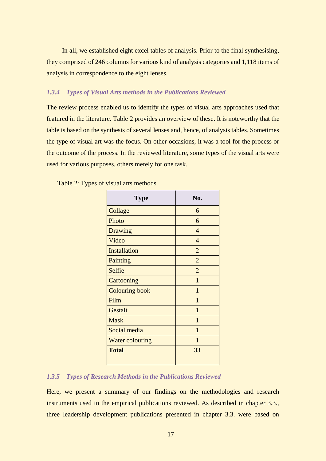In all, we established eight excel tables of analysis. Prior to the final synthesising, they comprised of 246 columns for various kind of analysis categories and 1,118 items of analysis in correspondence to the eight lenses.

#### <span id="page-16-0"></span>*1.3.4 Types of Visual Arts methods in the Publications Reviewed*

The review process enabled us to identify the types of visual arts approaches used that featured in the literature. Table 2 provides an overview of these. It is noteworthy that the table is based on the synthesis of several lenses and, hence, of analysis tables. Sometimes the type of visual art was the focus. On other occasions, it was a tool for the process or the outcome of the process. In the reviewed literature, some types of the visual arts were used for various purposes, others merely for one task.

| Type                   | No.            |
|------------------------|----------------|
| Collage                | 6              |
| Photo                  | 6              |
| Drawing                | 4              |
| Video                  | $\overline{4}$ |
| <b>Installation</b>    | $\overline{2}$ |
| Painting               | $\overline{2}$ |
| Selfie                 | $\overline{2}$ |
| Cartooning             | 1              |
| <b>Colouring book</b>  | $\mathbf{1}$   |
| Film                   | 1              |
| Gestalt                | 1              |
| <b>Mask</b>            | 1              |
| Social media           | $\mathbf{1}$   |
| <b>Water colouring</b> | 1              |
| <b>Total</b>           | 33             |

<span id="page-16-2"></span>Table 2: Types of visual arts methods

#### <span id="page-16-1"></span>*1.3.5 Types of Research Methods in the Publications Reviewed*

Here, we present a summary of our findings on the methodologies and research instruments used in the empirical publications reviewed. As described in chapter 3.3., three leadership development publications presented in chapter 3.3. were based on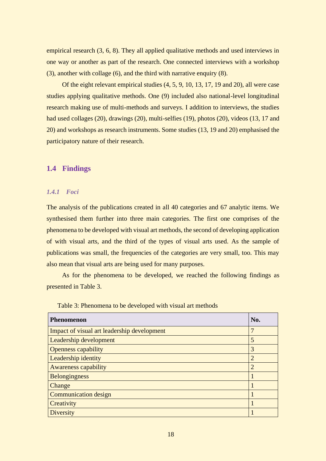empirical research (3, 6, 8). They all applied qualitative methods and used interviews in one way or another as part of the research. One connected interviews with a workshop (3), another with collage (6), and the third with narrative enquiry (8).

Of the eight relevant empirical studies (4, 5, 9, 10, 13, 17, 19 and 20), all were case studies applying qualitative methods. One (9) included also national-level longitudinal research making use of multi-methods and surveys. I addition to interviews, the studies had used collages (20), drawings (20), multi-selfies (19), photos (20), videos (13, 17 and 20) and workshops as research instruments. Some studies (13, 19 and 20) emphasised the participatory nature of their research.

## <span id="page-17-0"></span>**1.4 Findings**

#### <span id="page-17-1"></span>*1.4.1 Foci*

The analysis of the publications created in all 40 categories and 67 analytic items. We synthesised them further into three main categories. The first one comprises of the phenomena to be developed with visual art methods, the second of developing application of with visual arts, and the third of the types of visual arts used. As the sample of publications was small, the frequencies of the categories are very small, too. This may also mean that visual arts are being used for many purposes.

As for the phenomena to be developed, we reached the following findings as presented in Table 3.

| Phenomenon                                  | No.            |
|---------------------------------------------|----------------|
| Impact of visual art leadership development |                |
| Leadership development                      | 5              |
| <b>Openness capability</b>                  | 3              |
| <b>Leadership identity</b>                  | $\overline{2}$ |
| <b>Awareness capability</b>                 | $\overline{2}$ |
| Belongingness                               |                |
| Change                                      |                |
| <b>Communication design</b>                 |                |
| Creativity                                  |                |
| <b>Diversity</b>                            |                |

<span id="page-17-2"></span>Table 3: Phenomena to be developed with visual art methods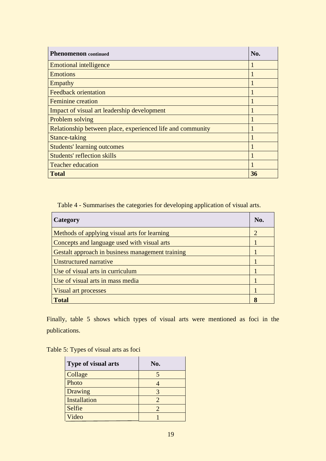| <b>Phenomenon</b> continued                                | No. |
|------------------------------------------------------------|-----|
| <b>Emotional intelligence</b>                              |     |
| <b>Emotions</b>                                            |     |
| Empathy                                                    |     |
| <b>Feedback orientation</b>                                |     |
| <b>Feminine</b> creation                                   |     |
| Impact of visual art leadership development                |     |
| Problem solving                                            |     |
| Relationship between place, experienced life and community |     |
| Stance-taking                                              |     |
| <b>Students' learning outcomes</b>                         |     |
| <b>Students' reflection skills</b>                         |     |
| <b>Teacher education</b>                                   |     |
| <b>Total</b>                                               | 36  |

<span id="page-18-0"></span>Table 4 - Summarises the categories for developing application of visual arts.

| Category                                         | No. |  |
|--------------------------------------------------|-----|--|
| Methods of applying visual arts for learning     |     |  |
| Concepts and language used with visual arts      |     |  |
| Gestalt approach in business management training |     |  |
| Unstructured narrative                           |     |  |
| Use of visual arts in curriculum                 |     |  |
| Use of visual arts in mass media                 |     |  |
| Visual art processes                             |     |  |
| <b>Total</b>                                     |     |  |

Finally, table 5 shows which types of visual arts were mentioned as foci in the publications.

<span id="page-18-1"></span>

| <b>Type of visual arts</b> | No.                         |
|----------------------------|-----------------------------|
| Collage                    |                             |
| Photo                      |                             |
| Drawing                    | 3                           |
| <b>Installation</b>        | $\mathcal{D}_{\mathcal{A}}$ |
| Selfie                     | $\mathcal{D}_{\cdot}$       |
| Video                      |                             |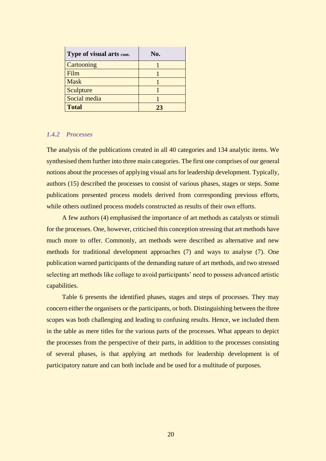| Type of visual arts cont. | No. |
|---------------------------|-----|
| Cartooning                |     |
| Film                      |     |
| <b>Mask</b>               |     |
| Sculpture                 |     |
| Social media              |     |
| <b>Total</b>              | 23  |

#### <span id="page-19-0"></span>*1.4.2 Processes*

The analysis of the publications created in all 40 categories and 134 analytic items. We synthesised them further into three main categories. The first one comprises of our general notions about the processes of applying visual arts for leadership development. Typically, authors (15) described the processes to consist of various phases, stages or steps. Some publications presented process models derived from corresponding previous efforts, while others outlined process models constructed as results of their own efforts.

A few authors (4) emphasised the importance of art methods as catalysts or stimuli for the processes. One, however, criticised this conception stressing that art methods have much more to offer. Commonly, art methods were described as alternative and new methods for traditional development approaches (7) and ways to analyse (7). One publication warned participants of the demanding nature of art methods, and two stressed selecting art methods like collage to avoid participants' need to possess advanced artistic capabilities.

Table 6 presents the identified phases, stages and steps of processes. They may concern either the organisers or the participants, or both. Distinguishing between the three scopes was both challenging and leading to confusing results. Hence, we included them in the table as mere titles for the various parts of the processes. What appears to depict the processes from the perspective of their parts, in addition to the processes consisting of several phases, is that applying art methods for leadership development is of participatory nature and can both include and be used for a multitude of purposes.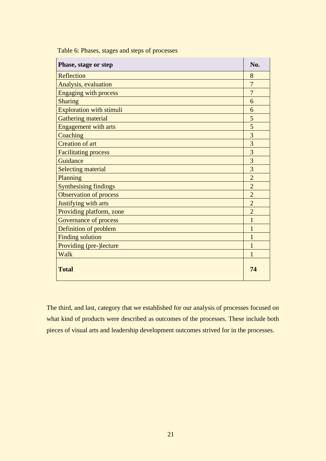| Phase, stage or step            | No.            |
|---------------------------------|----------------|
| Reflection                      | 8              |
| Analysis, evaluation            | $\overline{7}$ |
| <b>Engaging with process</b>    | $\overline{7}$ |
| <b>Sharing</b>                  | 6              |
| <b>Exploration with stimuli</b> | 6              |
| <b>Gathering material</b>       | 5              |
| <b>Engagement with arts</b>     | 5              |
| Coaching                        | 3              |
| <b>Creation of art</b>          | $\overline{3}$ |
| <b>Facilitating process</b>     | $\overline{3}$ |
| Guidance                        | 3              |
| <b>Selecting material</b>       | 3              |
| Planning                        | $\overline{2}$ |
| <b>Synthesising findings</b>    | $\overline{2}$ |
| <b>Observation of process</b>   | $\overline{2}$ |
| Justifying with arts            | $\overline{2}$ |
| Providing platform, zone        | $\overline{2}$ |
| <b>Governance of process</b>    | 1              |
| Definition of problem           | 1              |
| <b>Finding solution</b>         | 1              |
| <b>Providing (pre-)lecture</b>  | 1              |
| Walk                            | 1              |
| <b>Total</b>                    | 74             |

<span id="page-20-0"></span>Table 6: Phases, stages and steps of processes

<span id="page-20-1"></span>The third, and last, category that we established for our analysis of processes focused on what kind of products were described as outcomes of the processes. These include both pieces of visual arts and leadership development outcomes strived for in the processes.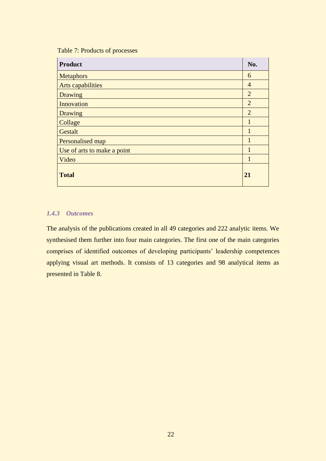## Table 7: Products of processes

| <b>Product</b>              | No.            |
|-----------------------------|----------------|
| <b>Metaphors</b>            | 6              |
| Arts capabilities           | 4              |
| <b>Drawing</b>              | $\overline{2}$ |
| Innovation                  | $\overline{2}$ |
| <b>Drawing</b>              | $\overline{2}$ |
| Collage                     | 1              |
| Gestalt                     | 1              |
| Personalised map            | 1              |
| Use of arts to make a point | 1              |
| Video                       | 1              |
| <b>Total</b>                | 21             |

# <span id="page-21-0"></span>*1.4.3 Outcomes*

The analysis of the publications created in all 49 categories and 222 analytic items. We synthesised them further into four main categories. The first one of the main categories comprises of identified outcomes of developing participants' leadership competences applying visual art methods. It consists of 13 categories and 98 analytical items as presented in Table 8.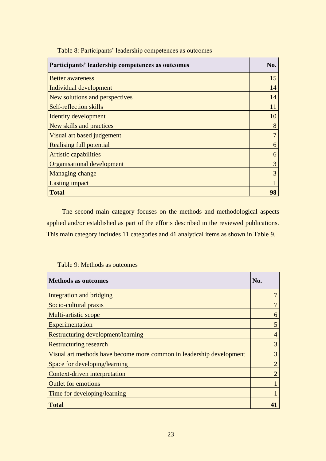<span id="page-22-0"></span>

| Participants' leadership competences as outcomes | No. |
|--------------------------------------------------|-----|
| <b>Better awareness</b>                          | 15  |
| Individual development                           | 14  |
| New solutions and perspectives                   | 14  |
| Self-reflection skills                           | 11  |
| Identity development                             | 10  |
| New skills and practices                         | 8   |
| Visual art based judgement                       | 7   |
| <b>Realising full potential</b>                  | 6   |
| Artistic capabilities                            | 6   |
| Organisational development                       | 3   |
| Managing change                                  | 3   |
| Lasting impact                                   |     |
| <b>Total</b>                                     | 98  |

Table 8: Participants' leadership competences as outcomes

The second main category focuses on the methods and methodological aspects applied and/or established as part of the efforts described in the reviewed publications. This main category includes 11 categories and 41 analytical items as shown in Table 9.

#### <span id="page-22-1"></span>Table 9: Methods as outcomes

| <b>Methods as outcomes</b>                                           | No.           |
|----------------------------------------------------------------------|---------------|
| Integration and bridging                                             |               |
| Socio-cultural praxis                                                |               |
| Multi-artistic scope                                                 | 6             |
| Experimentation                                                      | 5             |
| Restructuring development/learning                                   |               |
| <b>Restructuring research</b>                                        | 3             |
| Visual art methods have become more common in leadership development | 3             |
| Space for developing/learning                                        | 2             |
| Context-driven interpretation                                        | $\mathcal{D}$ |
| <b>Outlet for emotions</b>                                           |               |
| Time for developing/learning                                         |               |
| <b>Total</b>                                                         | 41            |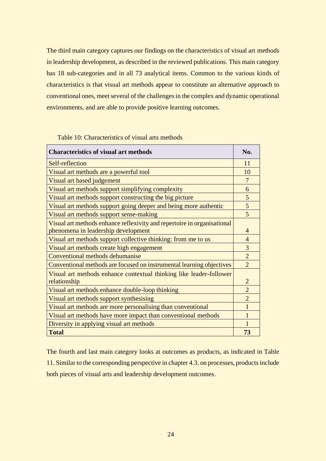The third main category captures our findings on the characteristics of visual art methods in leadership development, as described in the reviewed publications. This main category has 18 sub-categories and in all 73 analytical items. Common to the various kinds of characteristics is that visual art methods appear to constitute an alternative approach to conventional ones, meet several of the challenges in the complex and dynamic operational environments, and are able to provide positive learning outcomes.

<span id="page-23-0"></span>Table 10: Characteristics of visual arts methods

| <b>Characteristics of visual art methods</b>                            | No.            |
|-------------------------------------------------------------------------|----------------|
| Self-reflection                                                         | 11             |
| Visual art methods are a powerful tool                                  | 10             |
| Visual art based judgement                                              | 7              |
| Visual art methods support simplifying complexity                       | 6              |
| Visual art methods support constructing the big picture                 | 5              |
| Visual art methods support going deeper and being more authentic        | 5              |
| Visual art methods support sense-making                                 | 5              |
| Visual art methods enhance reflexivity and repertoire in organisational |                |
| phenomena in leadership development                                     | $\overline{4}$ |
| Visual art methods support collective thinking: from me to us           | $\overline{4}$ |
| Visual art methods create high engagement                               | $\overline{3}$ |
| Conventional methods dehumanise                                         | $\overline{2}$ |
| Conventional methods are focused on instrumental learning objectives    | 2              |
| Visual art methods enhance contextual thinking like leader-follower     |                |
| relationship                                                            | $\overline{2}$ |
| Visual art methods enhance double-loop thinking                         | $\overline{2}$ |
| Visual art methods support synthesising                                 | $\overline{2}$ |
| Visual art methods are more personalising than conventional             |                |
| Visual art methods have more impact than conventional methods           |                |
| Diversity in applying visual art methods                                |                |
| <b>Total</b>                                                            | 73             |

The fourth and last main category looks at outcomes as products, as indicated in Table 11. Similar to the corresponding perspective in chapter 4.3. on processes, products include both pieces of visual arts and leadership development outcomes.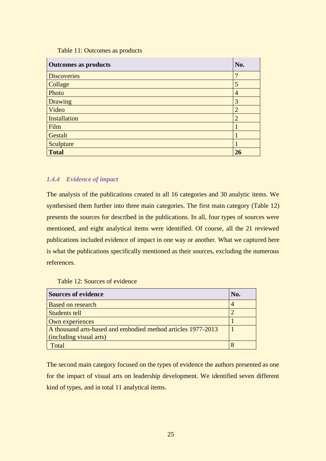#### Table 11: Outcomes as products

<span id="page-24-1"></span>

| <b>Outcomes as products</b> | No.            |
|-----------------------------|----------------|
| <b>Discoveries</b>          | 7              |
| Collage                     | 5              |
| Photo                       | 4              |
| <b>Drawing</b>              | 3              |
| Video                       | $\overline{2}$ |
| <b>Installation</b>         | $\overline{2}$ |
| Film                        |                |
| Gestalt                     |                |
| Sculpture                   |                |
| <b>Total</b>                | 26             |

## <span id="page-24-0"></span>*1.4.4 Evidence of impact*

The analysis of the publications created in all 16 categories and 30 analytic items. We synthesised them further into three main categories. The first main category (Table 12) presents the sources for described in the publications. In all, four types of sources were mentioned, and eight analytical items were identified. Of course, all the 21 reviewed publications included evidence of impact in one way or another. What we captured here is what the publications specifically mentioned as their sources, excluding the numerous references.

#### <span id="page-24-2"></span>Table 12: Sources of evidence

| <b>Sources of evidence</b>                                   | No. |
|--------------------------------------------------------------|-----|
| <b>Based on research</b>                                     |     |
| Students tell                                                |     |
| Own experiences                                              |     |
| A thousand arts-based and embodied method articles 1977-2013 |     |
| (including visual arts)                                      |     |
| Fotal                                                        |     |

The second main category focused on the types of evidence the authors presented as one for the impact of visual arts on leadership development. We identified seven different kind of types, and in total 11 analytical items.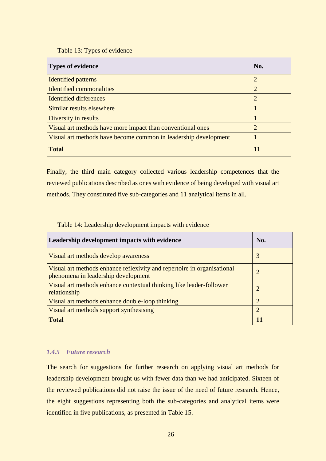Table 13: Types of evidence

<span id="page-25-1"></span>

| <b>Types of evidence</b>                                        | No. |
|-----------------------------------------------------------------|-----|
| <b>Identified patterns</b>                                      | 2   |
| Identified commonalities                                        | 2   |
| <b>Identified differences</b>                                   | 2   |
| Similar results elsewhere                                       |     |
| Diversity in results                                            |     |
| Visual art methods have more impact than conventional ones      | 2   |
| Visual art methods have become common in leadership development |     |
| <b>Total</b>                                                    |     |

Finally, the third main category collected various leadership competences that the reviewed publications described as ones with evidence of being developed with visual art methods. They constituted five sub-categories and 11 analytical items in all.

<span id="page-25-2"></span>Table 14: Leadership development impacts with evidence

| Leadership development impacts with evidence                                                                   | No.            |
|----------------------------------------------------------------------------------------------------------------|----------------|
| Visual art methods develop awareness                                                                           | 3              |
| Visual art methods enhance reflexivity and repertoire in organisational<br>phenomena in leadership development | $\overline{2}$ |
| Visual art methods enhance contextual thinking like leader-follower<br>relationship                            | 2              |
| Visual art methods enhance double-loop thinking                                                                | 2              |
| Visual art methods support synthesising                                                                        | $\overline{2}$ |
| <b>Total</b>                                                                                                   | 11             |

# <span id="page-25-0"></span>*1.4.5 Future research*

The search for suggestions for further research on applying visual art methods for leadership development brought us with fewer data than we had anticipated. Sixteen of the reviewed publications did not raise the issue of the need of future research. Hence, the eight suggestions representing both the sub-categories and analytical items were identified in five publications, as presented in Table 15.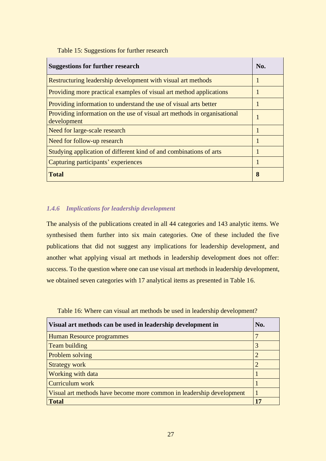<span id="page-26-1"></span>Table 15: Suggestions for further research

| <b>Suggestions for further research</b>                                                 | No. |
|-----------------------------------------------------------------------------------------|-----|
| Restructuring leadership development with visual art methods                            |     |
| Providing more practical examples of visual art method applications                     |     |
| Providing information to understand the use of visual arts better                       |     |
| Providing information on the use of visual art methods in organisational<br>development |     |
| Need for large-scale research                                                           |     |
| Need for follow-up research                                                             |     |
| Studying application of different kind of and combinations of arts                      |     |
| Capturing participants' experiences                                                     |     |
| <b>Total</b>                                                                            | 8   |

## <span id="page-26-0"></span>*1.4.6 Implications for leadership development*

The analysis of the publications created in all 44 categories and 143 analytic items. We synthesised them further into six main categories. One of these included the five publications that did not suggest any implications for leadership development, and another what applying visual art methods in leadership development does not offer: success. To the question where one can use visual art methods in leadership development, we obtained seven categories with 17 analytical items as presented in Table 16.

<span id="page-26-2"></span>Table 16: Where can visual art methods be used in leadership development?

| Visual art methods can be used in leadership development in          | No. |
|----------------------------------------------------------------------|-----|
| Human Resource programmes                                            |     |
| Team building                                                        | 3   |
| Problem solving                                                      |     |
| <b>Strategy work</b>                                                 |     |
| <b>Working with data</b>                                             |     |
| Curriculum work                                                      |     |
| Visual art methods have become more common in leadership development |     |
| <b>Total</b>                                                         | 17  |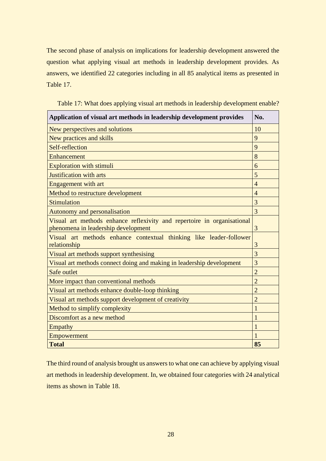The second phase of analysis on implications for leadership development answered the question what applying visual art methods in leadership development provides. As answers, we identified 22 categories including in all 85 analytical items as presented in Table 17.

| Application of visual art methods in leadership development provides                                           | No.            |
|----------------------------------------------------------------------------------------------------------------|----------------|
| New perspectives and solutions                                                                                 | 10             |
| New practices and skills                                                                                       | 9              |
| Self-reflection                                                                                                | 9              |
| Enhancement                                                                                                    | 8              |
| <b>Exploration with stimuli</b>                                                                                | 6              |
| <b>Justification with arts</b>                                                                                 | 5              |
| Engagement with art                                                                                            | $\overline{4}$ |
| Method to restructure development                                                                              | $\overline{4}$ |
| Stimulation                                                                                                    | 3              |
| Autonomy and personalisation                                                                                   | 3              |
| Visual art methods enhance reflexivity and repertoire in organisational<br>phenomena in leadership development | 3              |
| Visual art methods enhance contextual thinking like leader-follower<br>relationship                            | 3              |
| Visual art methods support synthesising                                                                        | 3              |
| Visual art methods connect doing and making in leadership development                                          | 3              |
| Safe outlet                                                                                                    | $\overline{2}$ |
| More impact than conventional methods                                                                          | $\overline{2}$ |
| Visual art methods enhance double-loop thinking                                                                | $\overline{2}$ |
| Visual art methods support development of creativity                                                           | $\overline{2}$ |
| Method to simplify complexity                                                                                  |                |
| Discomfort as a new method                                                                                     |                |
| Empathy                                                                                                        | 1              |
| Empowerment                                                                                                    | 1              |
| <b>Total</b>                                                                                                   | 85             |

<span id="page-27-0"></span>Table 17: What does applying visual art methods in leadership development enable?

The third round of analysis brought us answers to what one can achieve by applying visual art methods in leadership development. In, we obtained four categories with 24 analytical items as shown in Table 18.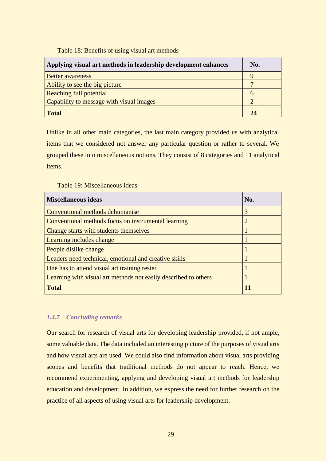Table 18: Benefits of using visual art methods

<span id="page-28-1"></span>

| Applying visual art methods in leadership development enhances | No. |
|----------------------------------------------------------------|-----|
| <b>Better awareness</b>                                        |     |
| Ability to see the big picture                                 |     |
| Reaching full potential                                        |     |
| Capability to message with visual images                       |     |
| <b>Total</b>                                                   | 24  |

Unlike in all other main categories, the last main category provided us with analytical items that we considered not answer any particular question or rather to several. We grouped these into miscellaneous notions. They consist of 8 categories and 11 analytical items.

<span id="page-28-2"></span>Table 19: Miscellaneous ideas

| <b>Miscellaneous ideas</b>                                      | No. |
|-----------------------------------------------------------------|-----|
| Conventional methods dehumanise                                 | 3   |
| Conventional methods focus on instrumental learning             |     |
| Change starts with students themselves                          |     |
| Learning includes change                                        |     |
| People dislike change                                           |     |
| Leaders need technical, emotional and creative skills           |     |
| One has to attend visual art training rested                    |     |
| Learning with visual art methods not easily described to others |     |
| <b>Total</b>                                                    | 11  |

# <span id="page-28-0"></span>*1.4.7 Concluding remarks*

Our search for research of visual arts for developing leadership provided, if not ample, some valuable data. The data included an interesting picture of the purposes of visual arts and how visual arts are used. We could also find information about visual arts providing scopes and benefits that traditional methods do not appear to reach. Hence, we recommend experimenting, applying and developing visual art methods for leadership education and development. In addition, we express the need for further research on the practice of all aspects of using visual arts for leadership development.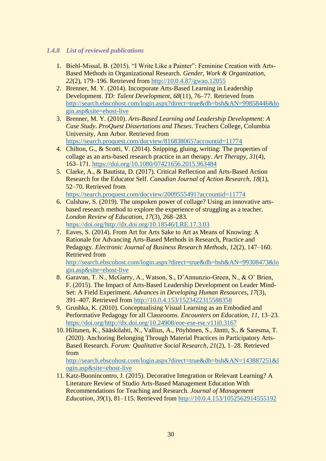# <span id="page-29-0"></span>*1.4.8 List of reviewed publications*

- 1. Biehl‐Missal, B. (2015). "I Write Like a Painter": Feminine Creation with Arts-Based Methods in Organizational Research. *Gender, Work & Organization*, *22*(2), 179–196. Retrieved from<http://10.0.4.87/gwao.12055>
- 2. Brenner, M. Y. (2014). Incorporate Arts-Based Learning in Leadership Development. *TD: Talent Development*, *68*(11), 76–77. Retrieved from [http://search.ebscohost.com/login.aspx?direct=true&db=bsh&AN=99858446&lo](http://search.ebscohost.com/login.aspx?direct=true&db=bsh&AN=99858446&login.asp&site=ehost-live) [gin.asp&site=ehost-live](http://search.ebscohost.com/login.aspx?direct=true&db=bsh&AN=99858446&login.asp&site=ehost-live)
- 3. Brenner, M. Y. (2010). *Arts-Based Learning and Leadership Development: A Case Study*. *ProQuest Dissertations and Theses*. Teachers College, Columbia University, Ann Arbor. Retrieved from <https://search.proquest.com/docview/816838065?accountid=11774>
- 4. Chilton, G., & Scotti, V. (2014). Snipping, gluing, writing: The properties of collage as an arts-based research practice in art therapy. *Art Therapy*, *31*(4), 163–171.<https://doi.org/10.1080/07421656.2015.963484>
- 5. Clarke, A., & Bautista, D. (2017). Critical Reflection and Arts-Based Action Research for the Educator Self. *Canadian Journal of Action Research*, *18*(1), 52–70. Retrieved from <https://search.proquest.com/docview/2009555491?accountid=11774>
- 6. Culshaw, S. (2019). The unspoken power of collage? Using an innovative artsbased research method to explore the experience of struggling as a teacher. *London Review of Education*, *17*(3), 268–283. [https://doi.org/http://dx.doi.org/10.18546/LRE.17.3.03](https://doi.org/http:/dx.doi.org/10.18546/LRE.17.3.03)
- 7. Eaves, S. (2014). From Art for Arts Sake to Art as Means of Knowing: A Rationale for Advancing Arts-Based Methods in Research, Practice and Pedagogy. *Electronic Journal of Business Research Methods*, *12*(2), 147–160. Retrieved from

[http://search.ebscohost.com/login.aspx?direct=true&db=bsh&AN=99308473&lo](http://search.ebscohost.com/login.aspx?direct=true&db=bsh&AN=99308473&login.asp&site=ehost-live) [gin.asp&site=ehost-live](http://search.ebscohost.com/login.aspx?direct=true&db=bsh&AN=99308473&login.asp&site=ehost-live)

- 8. Garavan, T. N., McGarry, A., Watson, S., D'Annunzio-Green, N., & O' Brien, F. (2015). The Impact of Arts-Based Leadership Development on Leader Mind-Set: A Field Experiment. *Advances in Developing Human Resources*, *17*(3), 391–407. Retrieved from<http://10.0.4.153/1523422315588358>
- 9. Grushka, K. (2010). Conceptualising Visual Learning as an Embodied and Performative Pedagogy for all Classrooms. *Encounters on Education*, *11*, 13–23. [https://doi.org/http://dx.doi.org/10.24908/eoe-ese-rse.v11i0.3167](https://doi.org/http:/dx.doi.org/10.24908/eoe-ese-rse.v11i0.3167)
- 10. Hiltunen, K., Sääskilahti, N., Vallius, A., Pöyhönen, S., Jäntti, S., & Saresma, T. (2020). Anchoring Belonging Through Material Practices in Participatory Arts-Based Research. *Forum: Qualitative Social Research*, *21*(2), 1–28. Retrieved from

[http://search.ebscohost.com/login.aspx?direct=true&db=bsh&AN=143887251&l](http://search.ebscohost.com/login.aspx?direct=true&db=bsh&AN=143887251&login.asp&site=ehost-live) [ogin.asp&site=ehost-live](http://search.ebscohost.com/login.aspx?direct=true&db=bsh&AN=143887251&login.asp&site=ehost-live)

11. Katz-Buonincontro, J. (2015). Decorative Integration or Relevant Learning? A Literature Review of Studio Arts-Based Management Education With Recommendations for Teaching and Research. *Journal of Management Education*, *39*(1), 81–115. Retrieved from<http://10.0.4.153/1052562914555192>